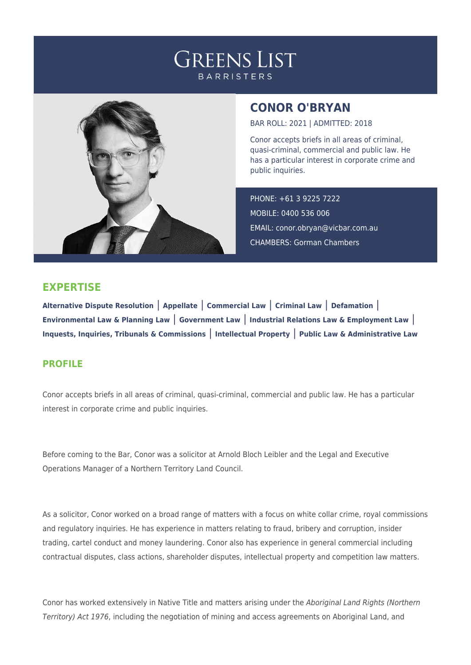## **GREENS LIST BARRISTERS**



## **CONOR O'BRYAN**

BAR ROLL: 2021 | ADMITTED: 2018

Conor accepts briefs in all areas of criminal, quasi-criminal, commercial and public law. He has a particular interest in corporate crime and public inquiries.

PHONE: +61 3 9225 7222 MOBILE: 0400 536 006 EMAIL: [conor.obryan@vicbar.com.au](mailto:conor.obryan@vicbar.com.au) CHAMBERS: Gorman Chambers

## **EXPERTISE**

**Alternative Dispute Resolution** | **Appellate** | **Commercial Law** | **Criminal Law** | **Defamation** | **Environmental Law & Planning Law** | **Government Law** | **Industrial Relations Law & Employment Law** | **Inquests, Inquiries, Tribunals & Commissions** | **Intellectual Property** | **Public Law & Administrative Law**

## **PROFILE**

Conor accepts briefs in all areas of criminal, quasi-criminal, commercial and public law. He has a particular interest in corporate crime and public inquiries.

Before coming to the Bar, Conor was a solicitor at Arnold Bloch Leibler and the Legal and Executive Operations Manager of a Northern Territory Land Council.

As a solicitor, Conor worked on a broad range of matters with a focus on white collar crime, royal commissions and regulatory inquiries. He has experience in matters relating to fraud, bribery and corruption, insider trading, cartel conduct and money laundering. Conor also has experience in general commercial including contractual disputes, class actions, shareholder disputes, intellectual property and competition law matters.

Conor has worked extensively in Native Title and matters arising under the Aboriginal Land Rights (Northern Territory) Act 1976, including the negotiation of mining and access agreements on Aboriginal Land, and